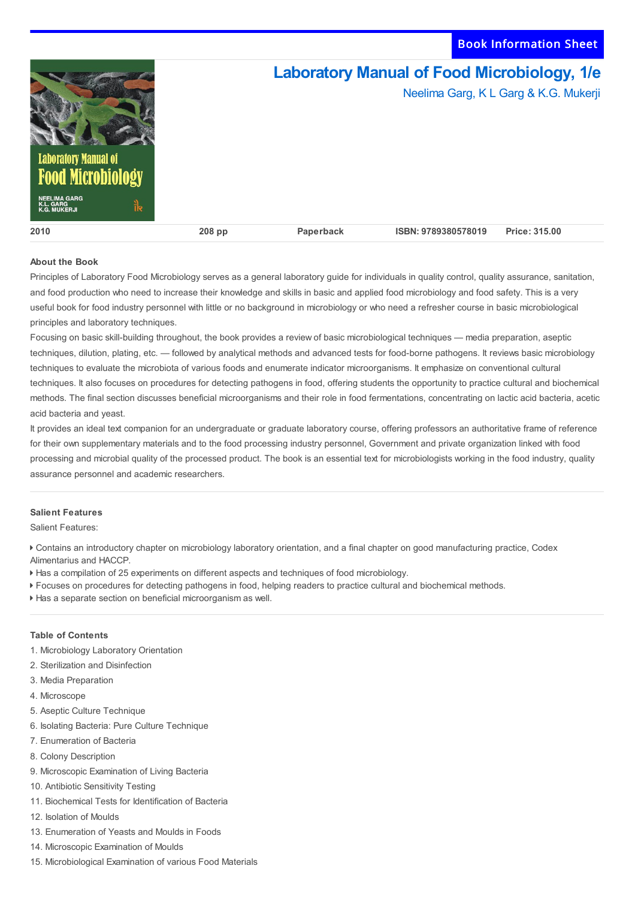Book Information Sheet



## **About the Book**

Principles of Laboratory Food Microbiology serves as a general laboratory guide for individuals in quality control, quality assurance, sanitation, and food production who need to increase their knowledge and skills in basic and applied food microbiology and food safety. This is a very useful book for food industry personnel with little or no background in microbiology or who need a refresher course in basic microbiological principles and laboratory techniques.

Focusing on basic skill-building throughout, the book provides a review of basic microbiological techniques — media preparation, aseptic techniques, dilution, plating, etc. — followed by analytical methods and advanced tests for food-borne pathogens. It reviews basic microbiology techniques to evaluate the microbiota of various foods and enumerate indicator microorganisms. It emphasize on conventional cultural techniques. It also focuses on procedures for detecting pathogens in food, offering students the opportunity to practice cultural and biochemical methods. The final section discusses beneficial microorganisms and their role in food fermentations, concentrating on lactic acid bacteria, acetic acid bacteria and yeast.

It provides an ideal text companion for an undergraduate or graduate laboratory course, offering professors an authoritative frame of reference for their own supplementary materials and to the food processing industry personnel, Government and private organization linked with food processing and microbial quality of the processed product. The book is an essential text for microbiologists working in the food industry, quality assurance personnel and academic researchers.

## **Salient Features**

Salient Features:

 Contains an introductory chapter on microbiology laboratory orientation, and a final chapter on good manufacturing practice, Codex Alimentarius and HACCP.

- Has a compilation of 25 experiments on different aspects and techniques of food microbiology.
- Focuses on procedures for detecting pathogens in food, helping readers to practice cultural and biochemical methods.
- Has a separate section on beneficial microorganism as well.

## **Table of Contents**

- 1. Microbiology Laboratory Orientation
- 2. Sterilization and Disinfection
- 3. Media Preparation
- 4. Microscope
- 5. Aseptic Culture Technique
- 6. Isolating Bacteria: Pure Culture Technique
- 7. Enumeration of Bacteria
- 8. Colony Description
- 9. Microscopic Examination of Living Bacteria
- 10. Antibiotic Sensitivity Testing
- 11. Biochemical Tests for Identification of Bacteria
- 12. Isolation of Moulds
- 13. Enumeration of Yeasts and Moulds in Foods
- 14. Microscopic Examination of Moulds
- 15. Microbiological Examination of various Food Materials